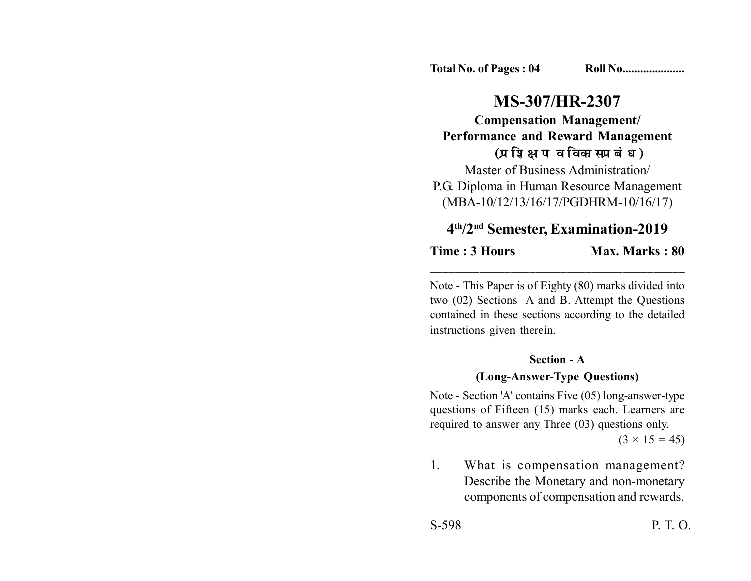**Total No. of Pages : 04 Roll No....................** 

# **MS-307/HR-2307**

**Compensation Management/ Performance and Reward Management** (प्रशिक्षण व विकास प्रबंध)

Master of Business Administration/ P.G. Diploma in Human Resource Management (MBA-10/12/13/16/17/PGDHRM-10/16/17)

### **4th/2nd Semester, Examination-2019**

\_\_\_\_\_\_\_\_\_\_\_\_\_\_\_\_\_\_\_\_\_\_\_\_\_\_\_\_\_\_\_\_\_\_\_\_\_\_\_\_\_

**Time : 3 Hours** Max. Marks : 80

Note - This Paper is of Eighty (80) marks divided into two (02) Sections A and B. Attempt the Questions contained in these sections according to the detailed instructions given therein.

#### **Section - A**

### **(Long-Answer-Type Questions)**

Note - Section 'A' contains Five (05) long-answer-type questions of Fifteen (15) marks each. Learners are required to answer any Three (03) questions only.

 $(3 \times 15 = 45)$ 

1. What is compensation management? Describe the Monetary and non-monetary components of compensation and rewards.

S-598 P. T. O.